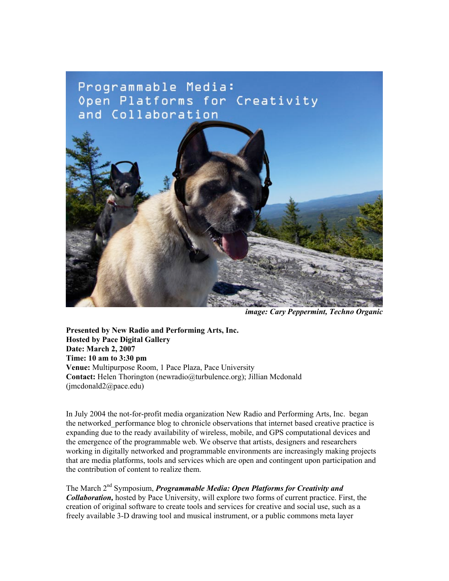# Programmable Media: Open Platforms for Creativity and Collaboration



*image: Cary Peppermint, Techno Organic*

**Presented by New Radio and Performing Arts, Inc. Hosted by Pace Digital Gallery Date: March 2, 2007 Time: 10 am to 3:30 pm Venue:** Multipurpose Room, 1 Pace Plaza, Pace University **Contact:** Helen Thorington (newradio@turbulence.org); Jillian Mcdonald (jmcdonald2@pace.edu)

In July 2004 the not-for-profit media organization New Radio and Performing Arts, Inc. began the networked\_performance blog to chronicle observations that internet based creative practice is expanding due to the ready availability of wireless, mobile, and GPS computational devices and the emergence of the programmable web. We observe that artists, designers and researchers working in digitally networked and programmable environments are increasingly making projects that are media platforms, tools and services which are open and contingent upon participation and the contribution of content to realize them.

The March 2nd Symposium, *Programmable Media: Open Platforms for Creativity and Collaboration,* hosted by Pace University, will explore two forms of current practice. First, the creation of original software to create tools and services for creative and social use, such as a freely available 3-D drawing tool and musical instrument, or a public commons meta layer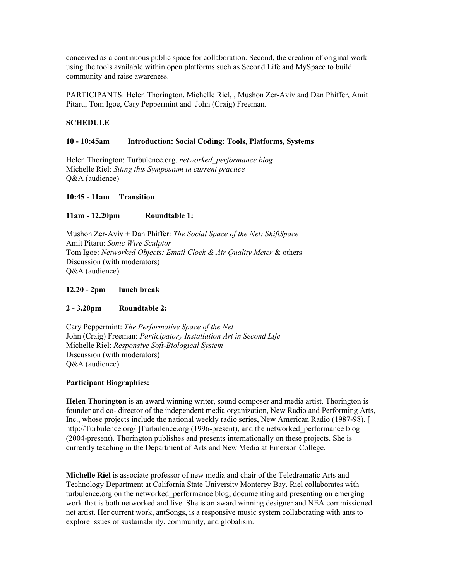conceived as a continuous public space for collaboration. Second, the creation of original work using the tools available within open platforms such as Second Life and MySpace to build community and raise awareness.

PARTICIPANTS: Helen Thorington, Michelle Riel, , Mushon Zer-Aviv and Dan Phiffer, Amit Pitaru, Tom Igoe, Cary Peppermint and John (Craig) Freeman.

# **SCHEDULE**

# **10 - 10:45am Introduction: Social Coding: Tools, Platforms, Systems**

Helen Thorington: Turbulence.org, *networked\_performance blog* Michelle Riel: *Siting this Symposium in current practice*  $O&A$  (audience)

# **10:45 - 11am Transition**

#### **11am - 12.20pm Roundtable 1:**

Mushon Zer-Aviv + Dan Phiffer: *The Social Space of the Net: ShiftSpace* Amit Pitaru: *Sonic Wire Sculptor* Tom Igoe: *Networked Objects: Email Clock & Air Quality Meter* & others Discussion (with moderators) O&A (audience)

#### **12.20 - 2pm lunch break**

# **2 - 3.20pm Roundtable 2:**

Cary Peppermint: *The Performative Space of the Net* John (Craig) Freeman: *Participatory Installation Art in Second Life* Michelle Riel: *Responsive Soft-Biological System* Discussion (with moderators) Q&A (audience)

#### **Participant Biographies:**

**Helen Thorington** is an award winning writer, sound composer and media artist. Thorington is founder and co- director of the independent media organization, New Radio and Performing Arts, Inc., whose projects include the national weekly radio series, New American Radio (1987-98), [ http://Turbulence.org/ ]Turbulence.org (1996-present), and the networked\_performance blog (2004-present). Thorington publishes and presents internationally on these projects. She is currently teaching in the Department of Arts and New Media at Emerson College.

**Michelle Riel** is associate professor of new media and chair of the Teledramatic Arts and Technology Department at California State University Monterey Bay. Riel collaborates with turbulence.org on the networked\_performance blog, documenting and presenting on emerging work that is both networked and live. She is an award winning designer and NEA commissioned net artist. Her current work, antSongs, is a responsive music system collaborating with ants to explore issues of sustainability, community, and globalism.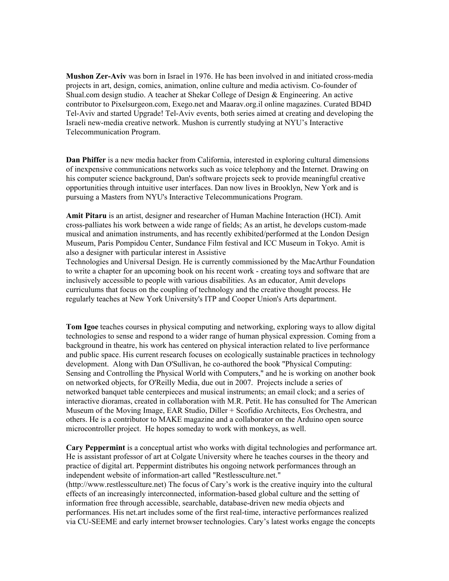**Mushon Zer-Aviv** was born in Israel in 1976. He has been involved in and initiated cross-media projects in art, design, comics, animation, online culture and media activism. Co-founder of Shual.com design studio. A teacher at Shekar College of Design & Engineering. An active contributor to Pixelsurgeon.com, Exego.net and Maarav.org.il online magazines. Curated BD4D Tel-Aviv and started Upgrade! Tel-Aviv events, both series aimed at creating and developing the Israeli new-media creative network. Mushon is currently studying at NYU's Interactive Telecommunication Program.

**Dan Phiffer** is a new media hacker from California, interested in exploring cultural dimensions of inexpensive communications networks such as voice telephony and the Internet. Drawing on his computer science background, Dan's software projects seek to provide meaningful creative opportunities through intuitive user interfaces. Dan now lives in Brooklyn, New York and is pursuing a Masters from NYU's Interactive Telecommunications Program.

**Amit Pitaru** is an artist, designer and researcher of Human Machine Interaction (HCI). Amit cross-palliates his work between a wide range of fields; As an artist, he develops custom-made musical and animation instruments, and has recently exhibited/performed at the London Design Museum, Paris Pompidou Center, Sundance Film festival and ICC Museum in Tokyo. Amit is also a designer with particular interest in Assistive

Technologies and Universal Design. He is currently commissioned by the MacArthur Foundation to write a chapter for an upcoming book on his recent work - creating toys and software that are inclusively accessible to people with various disabilities. As an educator, Amit develops curriculums that focus on the coupling of technology and the creative thought process. He regularly teaches at New York University's ITP and Cooper Union's Arts department.

**Tom Igoe** teaches courses in physical computing and networking, exploring ways to allow digital technologies to sense and respond to a wider range of human physical expression. Coming from a background in theatre, his work has centered on physical interaction related to live performance and public space. His current research focuses on ecologically sustainable practices in technology development. Along with Dan O'Sullivan, he co-authored the book "Physical Computing: Sensing and Controlling the Physical World with Computers," and he is working on another book on networked objects, for O'Reilly Media, due out in 2007. Projects include a series of networked banquet table centerpieces and musical instruments; an email clock; and a series of interactive dioramas, created in collaboration with M.R. Petit. He has consulted for The American Museum of the Moving Image, EAR Studio, Diller + Scofidio Architects, Eos Orchestra, and others. He is a contributor to MAKE magazine and a collaborator on the Arduino open source microcontroller project. He hopes someday to work with monkeys, as well.

**Cary Peppermint** is a conceptual artist who works with digital technologies and performance art. He is assistant professor of art at Colgate University where he teaches courses in the theory and practice of digital art. Peppermint distributes his ongoing network performances through an independent website of information-art called "Restlessculture.net." (http://www.restlessculture.net) The focus of Cary's work is the creative inquiry into the cultural effects of an increasingly interconnected, information-based global culture and the setting of information free through accessible, searchable, database-driven new media objects and performances. His net.art includes some of the first real-time, interactive performances realized via CU-SEEME and early internet browser technologies. Cary's latest works engage the concepts